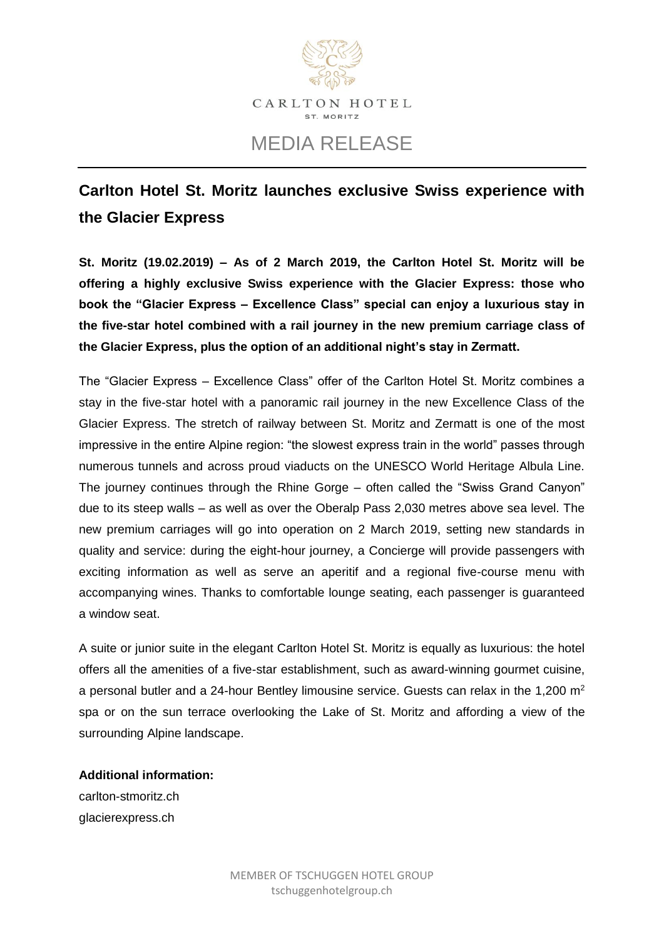

# MEDIA RELEASE

## **Carlton Hotel St. Moritz launches exclusive Swiss experience with the Glacier Express**

**St. Moritz (19.02.2019) – As of 2 March 2019, the Carlton Hotel St. Moritz will be offering a highly exclusive Swiss experience with the Glacier Express: those who book the "Glacier Express – Excellence Class" special can enjoy a luxurious stay in the five-star hotel combined with a rail journey in the new premium carriage class of the Glacier Express, plus the option of an additional night's stay in Zermatt.** 

The "Glacier Express – Excellence Class" offer of the Carlton Hotel St. Moritz combines a stay in the five-star hotel with a panoramic rail journey in the new Excellence Class of the Glacier Express. The stretch of railway between St. Moritz and Zermatt is one of the most impressive in the entire Alpine region: "the slowest express train in the world" passes through numerous tunnels and across proud viaducts on the UNESCO World Heritage Albula Line. The journey continues through the Rhine Gorge – often called the "Swiss Grand Canyon" due to its steep walls – as well as over the Oberalp Pass 2,030 metres above sea level. The new premium carriages will go into operation on 2 March 2019, setting new standards in quality and service: during the eight-hour journey, a Concierge will provide passengers with exciting information as well as serve an aperitif and a regional five-course menu with accompanying wines. Thanks to comfortable lounge seating, each passenger is guaranteed a window seat.

A suite or junior suite in the elegant Carlton Hotel St. Moritz is equally as luxurious: the hotel offers all the amenities of a five-star establishment, such as award-winning gourmet cuisine, a personal butler and a 24-hour Bentley limousine service. Guests can relax in the 1.200  $m^2$ spa or on the sun terrace overlooking the Lake of St. Moritz and affording a view of the surrounding Alpine landscape.

**Additional information:**

[carlton-stmoritz.ch](https://carlton-stmoritz.ch/en/experiences/detail/id/31976/excellence-class?f=Package.Categories.Family,Package.Categories.Gastronomy,Package.Categories.Golf,Package.Categories.Meetings,Package.Categories.Spa,Package.Categories.Sport,Package.Categories.Summer,Package.Categories.Tennis,Package.Categories.Winter) [glacierexpress.ch](https://www.glacierexpress.ch/en/offers/excellence-class/)